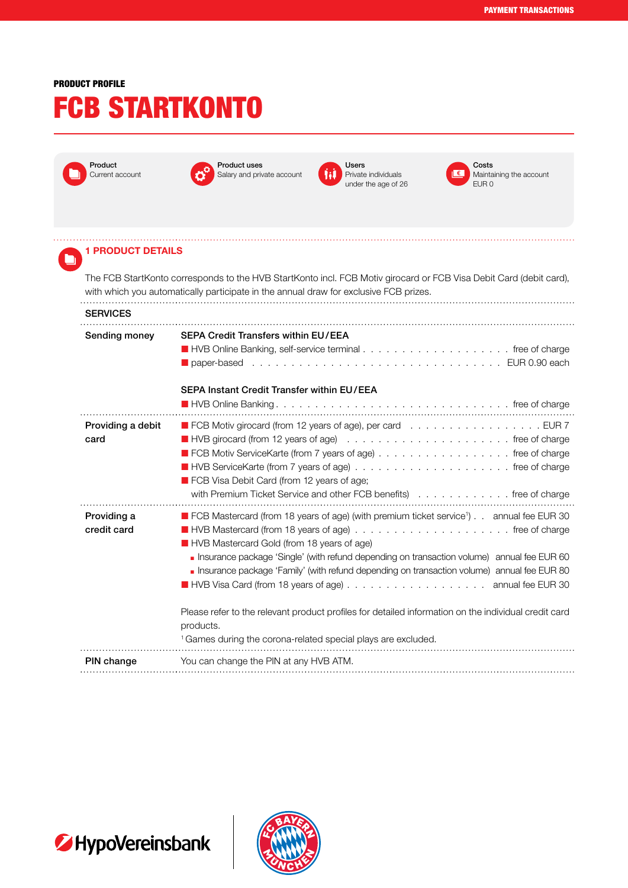## PRODUCT PROFILE

# FCB STARTKONTO



 $\qquad \qquad \blacksquare$ 



Product uses Salary and private account



Private individuals under the age of 26



Costs Maintaining the account EUR 0

### 1 PRODUCT DETAILS

The FCB StartKonto corresponds to the HVB StartKonto incl. FCB Motiv girocard or FCB Visa Debit Card (debit card), with which you automatically participate in the annual draw for exclusive FCB prizes. . . . . . . . . . . . . . . 

#### **SERVICES**

| Sending money              | <b>SEPA Credit Transfers within EU/EEA</b><br><b>SEPA Instant Credit Transfer within EU/EEA</b>                                                                                                                                                                                                                                                                                                                                                                                                                                                                                                                               |
|----------------------------|-------------------------------------------------------------------------------------------------------------------------------------------------------------------------------------------------------------------------------------------------------------------------------------------------------------------------------------------------------------------------------------------------------------------------------------------------------------------------------------------------------------------------------------------------------------------------------------------------------------------------------|
| Providing a debit<br>card  | ■ FCB Motiv girocard (from 12 years of age), per card EUR 7<br>■ FCB Motiv ServiceKarte (from 7 years of age) free of charge<br>FCB Visa Debit Card (from 12 years of age;<br>with Premium Ticket Service and other FCB benefits (all contacts of the of charge                                                                                                                                                                                                                                                                                                                                                               |
| Providing a<br>credit card | ■ FCB Mastercard (from 18 years of age) (with premium ticket service <sup>1</sup> ). . annual fee EUR 30<br>HVB Mastercard Gold (from 18 years of age)<br><b>Insurance package 'Single' (with refund depending on transaction volume)</b> annual fee EUR 60<br><b>Insurance package 'Family' (with refund depending on transaction volume)</b> annual fee EUR 80<br>■ HVB Visa Card (from 18 years of age) annual fee EUR 30<br>Please refer to the relevant product profiles for detailed information on the individual credit card<br>products.<br><sup>1</sup> Games during the corona-related special plays are excluded. |
| PIN change                 | You can change the PIN at any HVB ATM.                                                                                                                                                                                                                                                                                                                                                                                                                                                                                                                                                                                        |



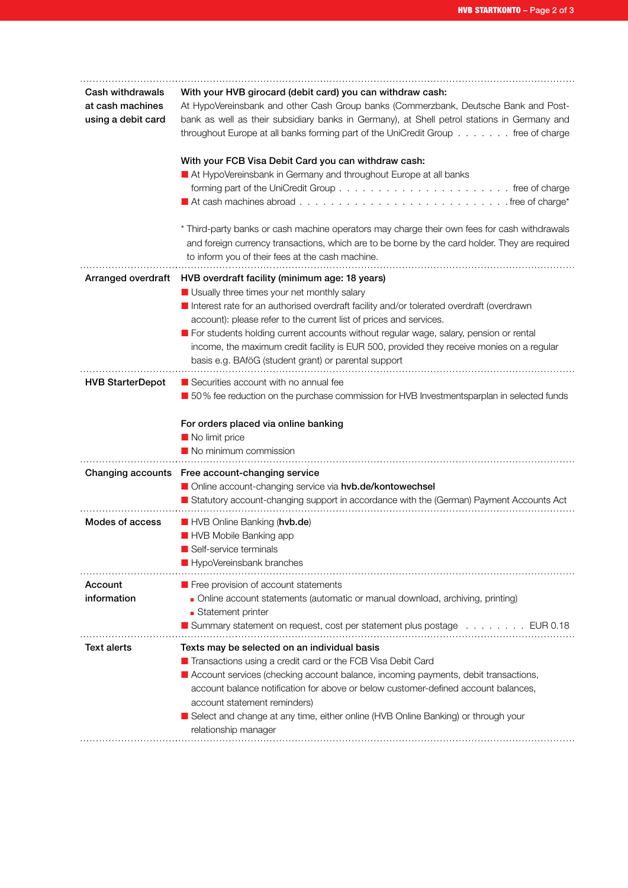| Cash withdrawals<br>at cash machines<br>using a debit card | With your HVB girocard (debit card) you can withdraw cash:<br>At HypoVereinsbank and other Cash Group banks (Commerzbank, Deutsche Bank and Post-<br>bank as well as their subsidiary banks in Germany), at Shell petrol stations in Germany and<br>throughout Europe at all banks forming part of the UniCredit Group free of charge<br>With your FCB Visa Debit Card you can withdraw cash:<br>At HypoVereinsbank in Germany and throughout Europe at all banks<br>* Third-party banks or cash machine operators may charge their own fees for cash withdrawals<br>and foreign currency transactions, which are to be borne by the card holder. They are required<br>to inform you of their fees at the cash machine. |
|------------------------------------------------------------|-------------------------------------------------------------------------------------------------------------------------------------------------------------------------------------------------------------------------------------------------------------------------------------------------------------------------------------------------------------------------------------------------------------------------------------------------------------------------------------------------------------------------------------------------------------------------------------------------------------------------------------------------------------------------------------------------------------------------|
|                                                            | Arranged overdraft HVB overdraft facility (minimum age: 18 years)<br>Usually three times your net monthly salary<br>Interest rate for an authorised overdraft facility and/or tolerated overdraft (overdrawn<br>account): please refer to the current list of prices and services.<br>For students holding current accounts without regular wage, salary, pension or rental<br>income, the maximum credit facility is EUR 500, provided they receive monies on a regular<br>basis e.g. BAföG (student grant) or parental support                                                                                                                                                                                        |
| <b>HVB StarterDepot</b>                                    | Securities account with no annual fee<br>■ 50% fee reduction on the purchase commission for HVB Investmentsparplan in selected funds<br>For orders placed via online banking<br>No limit price<br>No minimum commission                                                                                                                                                                                                                                                                                                                                                                                                                                                                                                 |
|                                                            | Changing accounts Free account-changing service<br>Online account-changing service via hvb.de/kontowechsel<br>Statutory account-changing support in accordance with the (German) Payment Accounts Act                                                                                                                                                                                                                                                                                                                                                                                                                                                                                                                   |
| Modes of access                                            | HVB Online Banking (hvb.de)<br>HVB Mobile Banking app<br>Self-service terminals<br>HypoVereinsbank branches                                                                                                                                                                                                                                                                                                                                                                                                                                                                                                                                                                                                             |
| Account<br>information                                     | <b>Figure 1</b> Free provision of account statements<br>Online account statements (automatic or manual download, archiving, printing)<br>• Statement printer<br>■ Summary statement on request, cost per statement plus postage EUR 0.18                                                                                                                                                                                                                                                                                                                                                                                                                                                                                |
| Text alerts                                                | Texts may be selected on an individual basis<br>Transactions using a credit card or the FCB Visa Debit Card<br><b>E</b> Account services (checking account balance, incoming payments, debit transactions,<br>account balance notification for above or below customer-defined account balances,<br>account statement reminders)<br>Select and change at any time, either online (HVB Online Banking) or through your<br>relationship manager                                                                                                                                                                                                                                                                           |